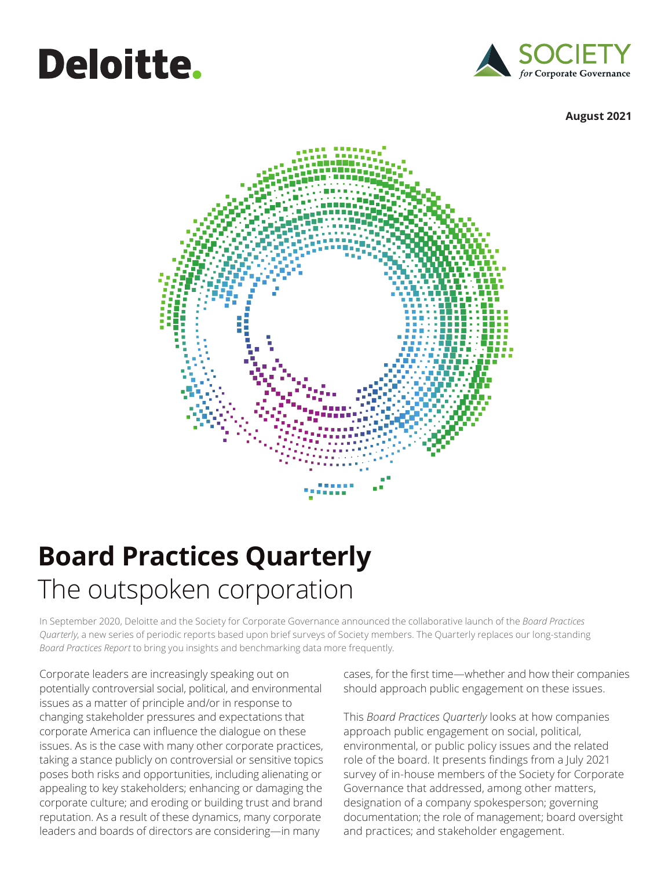# **Deloitte.**



#### **August 2021**



### **Board Practices Quarterly** The outspoken corporation

In September 2020, Deloitte and the Society for Corporate Governance announced the collaborative launch of the *Board Practices Quarterly*, a new series of periodic reports based upon brief surveys of Society members. The Quarterly replaces our long-standing *Board Practices Report* to bring you insights and benchmarking data more frequently.

Corporate leaders are increasingly speaking out on potentially controversial social, political, and environmental issues as a matter of principle and/or in response to changing stakeholder pressures and expectations that corporate America can influence the dialogue on these issues. As is the case with many other corporate practices, taking a stance publicly on controversial or sensitive topics poses both risks and opportunities, including alienating or appealing to key stakeholders; enhancing or damaging the corporate culture; and eroding or building trust and brand reputation. As a result of these dynamics, many corporate leaders and boards of directors are considering—in many

cases, for the first time—whether and how their companies should approach public engagement on these issues.

This *Board Practices Quarterly* looks at how companies approach public engagement on social, political, environmental, or public policy issues and the related role of the board. It presents findings from a July 2021 survey of in-house members of the Society for Corporate Governance that addressed, among other matters, designation of a company spokesperson; governing documentation; the role of management; board oversight and practices; and stakeholder engagement.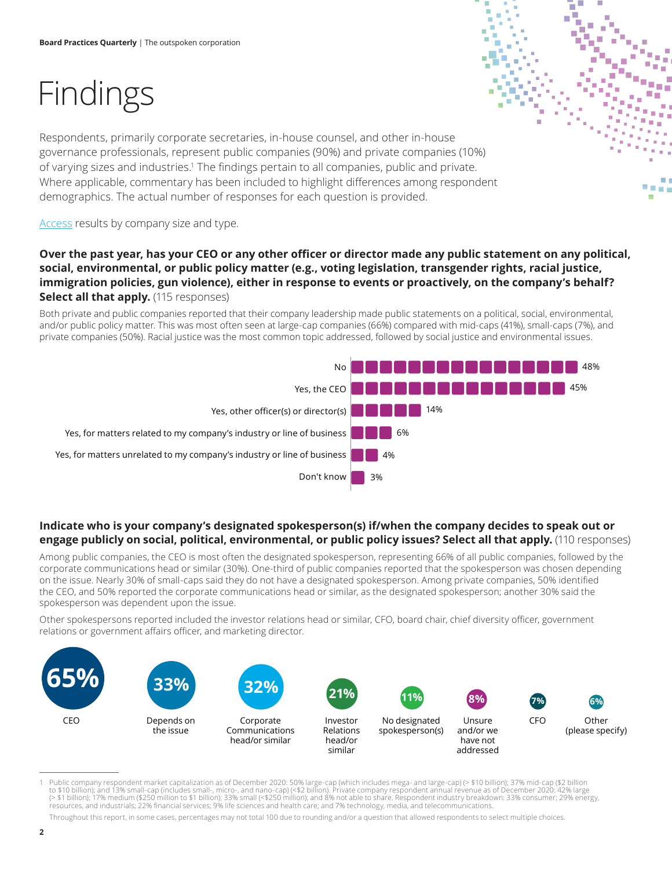# Findings

Respondents, primarily corporate secretaries, in-house counsel, and other in-house governance professionals, represent public companies (90%) and private companies (10%) of varying sizes and industries.<sup>1</sup> The findings pertain to all companies, public and private. Where applicable, commentary has been included to highlight differences among respondent demographics. The actual number of responses for each question is provided.

[Access](https://www2.deloitte.com/us/en/pages/center-for-board-effectiveness/articles/the-outspoken-corporation.html) results by company size and type.

#### **Over the past year, has your CEO or any other officer or director made any public statement on any political, social, environmental, or public policy matter (e.g., voting legislation, transgender rights, racial justice, immigration policies, gun violence), either in response to events or proactively, on the company's behalf? Select all that apply.** (115 responses)

Both private and public companies reported that their company leadership made public statements on a political, social, environmental, and/or public policy matter. This was most often seen at large-cap companies (66%) compared with mid-caps (41%), small-caps (7%), and private companies (50%). Racial justice was the most common topic addressed, followed by social justice and environmental issues.



#### **Indicate who is your company's designated spokesperson(s) if/when the company decides to speak out or engage publicly on social, political, environmental, or public policy issues? Select all that apply.** (110 responses)

Among public companies, the CEO is most often the designated spokesperson, representing 66% of all public companies, followed by the corporate communications head or similar (30%). One-third of public companies reported that the spokesperson was chosen depending on the issue. Nearly 30% of small-caps said they do not have a designated spokesperson. Among private companies, 50% identified the CEO, and 50% reported the corporate communications head or similar, as the designated spokesperson; another 30% said the spokesperson was dependent upon the issue.

Other spokespersons reported included the investor relations head or similar, CFO, board chair, chief diversity officer, government relations or government affairs officer, and marketing director.



Public company respondent market capitalization as of December 2020: 50% large-cap (which includes mega- and large-cap) (> \$10 billion); 37% mid-cap (\$2 billion to \$10 billion); and 13% small-cap (includes small-, micro-, and nano-cap) (<\$2 billion). Private company respondent annual revenue as of December 2020: 42% large (> \$1 billion); 17% medium (\$250 million to \$1 billion); 33% small (<\$250 million); and 8% not able to share. Respondent industry breakdown: 33% consumer; 29% energy, resources, and industrials; 22% financial services; 9% life sciences and health care; and 7% technology, media, and telecommunications.

Throughout this report, in some cases, percentages may not total 100 due to rounding and/or a question that allowed respondents to select multiple choices.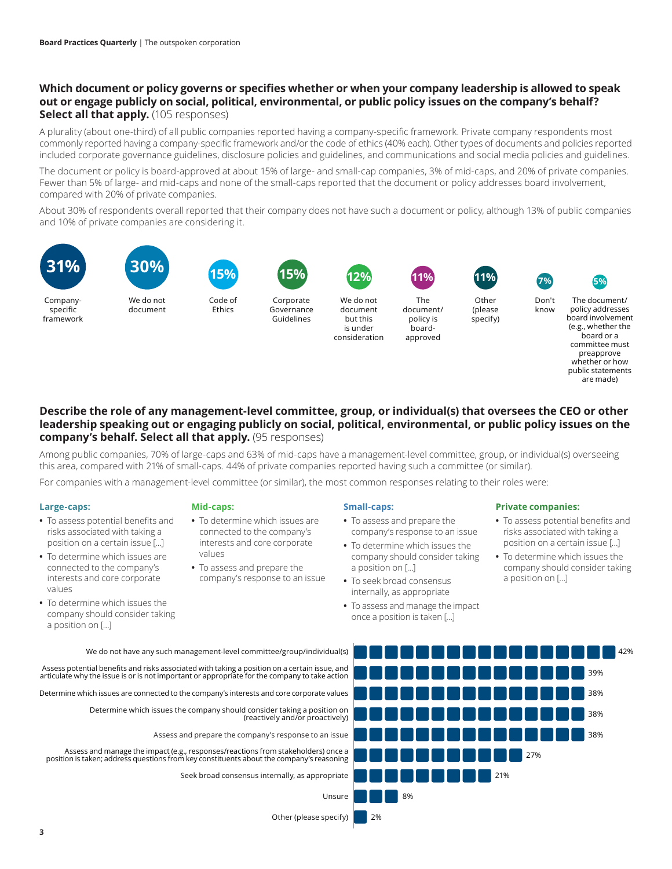#### **Which document or policy governs or specifies whether or when your company leadership is allowed to speak out or engage publicly on social, political, environmental, or public policy issues on the company's behalf? Select all that apply.** (105 responses)

A plurality (about one-third) of all public companies reported having a company-specific framework. Private company respondents most commonly reported having a company-specific framework and/or the code of ethics (40% each). Other types of documents and policies reported included corporate governance guidelines, disclosure policies and guidelines, and communications and social media policies and guidelines.

The document or policy is board-approved at about 15% of large- and small-cap companies, 3% of mid-caps, and 20% of private companies. Fewer than 5% of large- and mid-caps and none of the small-caps reported that the document or policy addresses board involvement, compared with 20% of private companies.

About 30% of respondents overall reported that their company does not have such a document or policy, although 13% of public companies and 10% of private companies are considering it.

> but this is under





Companyspecific framework

We do not document

Code of Ethics

Corporate

Governance Guidelines We do not document consideration



document/ policy is boardapproved



(please specify)

**11% 5%**

Don't know

The document/ policy addresses board involvement (e.g., whether the board or a committee must preapprove whether or how public statements are made)

#### **Describe the role of any management-level committee, group, or individual(s) that oversees the CEO or other leadership speaking out or engaging publicly on social, political, environmental, or public policy issues on the company's behalf. Select all that apply.** (95 responses)

Among public companies, 70% of large-caps and 63% of mid-caps have a management-level committee, group, or individual(s) overseeing this area, compared with 21% of small-caps. 44% of private companies reported having such a committee (or similar).

For companies with a management-level committee (or similar), the most common responses relating to their roles were:

#### **Large-caps:**

- **•** To assess potential benefits and risks associated with taking a position on a certain issue […]
- **•** To determine which issues are connected to the company's interests and core corporate values
- **•** To determine which issues the company should consider taking a position on […]

#### **Mid-caps:**

- **•** To determine which issues are connected to the company's interests and core corporate values
- **•** To assess and prepare the company's response to an issue

#### **Small-caps:**

- **•** To assess and prepare the company's response to an issue
- **•** To determine which issues the company should consider taking a position on […]
- **•** To seek broad consensus internally, as appropriate
- **•** To assess and manage the impact once a position is taken […]

#### **Private companies:**

- **•** To assess potential benefits and risks associated with taking a position on a certain issue […]
- **•** To determine which issues the company should consider taking a position on […]
- 42% 39% 38% 38% 38% 27% 21% 8% 2% We do not have any such management-level committee/group/individual(s) Assess potential benefits and risks associated with taking a position on a certain issue, and articulate why the issue is or is not important or appropriate for the company to take action Determine which issues are connected to the company's interests and core corporate values Determine which issues the company should consider taking a position on (reactively and/or proactively) Assess and manage the impact (e.g., responses/reactions from stakeholders) once a position is taken; address questions from key constituents about the company's reasoning Seek broad consensus internally, as appropriate Unsure Other (please specify) Assess and prepare the company's response to an issue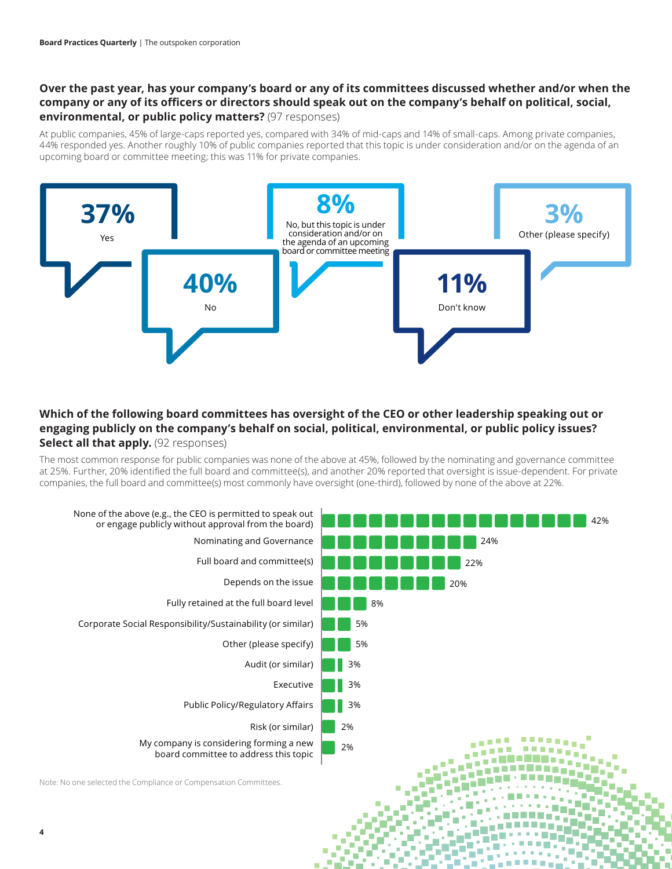#### **Over the past year, has your company's board or any of its committees discussed whether and/or when the company or any of its officers or directors should speak out on the company's behalf on political, social, environmental, or public policy matters?** (97 responses)

At public companies, 45% of large-caps reported yes, compared with 34% of mid-caps and 14% of small-caps. Among private companies, 44% responded yes. Another roughly 10% of public companies reported that this topic is under consideration and/or on the agenda of an upcoming board or committee meeting; this was 11% for private companies.



#### **Which of the following board committees has oversight of the CEO or other leadership speaking out or engaging publicly on the company's behalf on social, political, environmental, or public policy issues? Select all that apply.** (92 responses)

The most common response for public companies was none of the above at 45%, followed by the nominating and governance committee at 25%. Further, 20% identified the full board and committee(s), and another 20% reported that oversight is issue-dependent. For private companies, the full board and committee(s) most commonly have oversight (one-third), followed by none of the above at 22%.

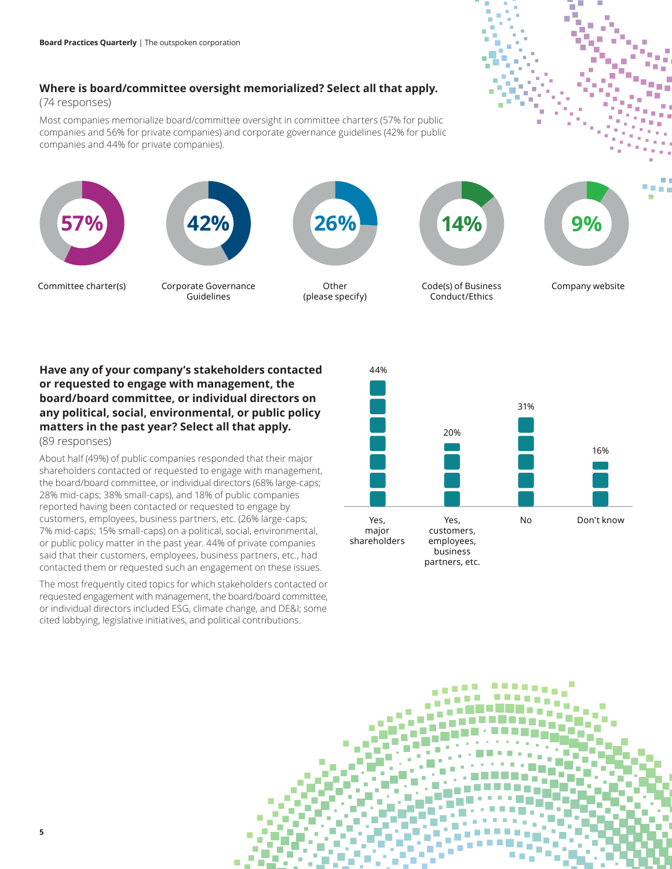#### **Where is board/committee oversight memorialized? Select all that apply.**

#### (74 responses)

Most companies memorialize board/committee oversight in committee charters (57% for public companies and 56% for private companies) and corporate governance guidelines (42% for public companies and 44% for private companies).



**Have any of your company's stakeholders contacted or requested to engage with management, the board/board committee, or individual directors on any political, social, environmental, or public policy matters in the past year? Select all that apply.** (89 responses)

About half (49%) of public companies responded that their major shareholders contacted or requested to engage with management, the board/board committee, or individual directors (68% large-caps; 28% mid-caps; 38% small-caps), and 18% of public companies reported having been contacted or requested to engage by customers, employees, business partners, etc. (26% large-caps; 7% mid-caps; 15% small-caps) on a political, social, environmental, or public policy matter in the past year. 44% of private companies said that their customers, employees, business partners, etc., had contacted them or requested such an engagement on these issues.

The most frequently cited topics for which stakeholders contacted or requested engagement with management, the board/board committee, or individual directors included ESG, climate change, and DE&I; some cited lobbying, legislative initiatives, and political contributions.